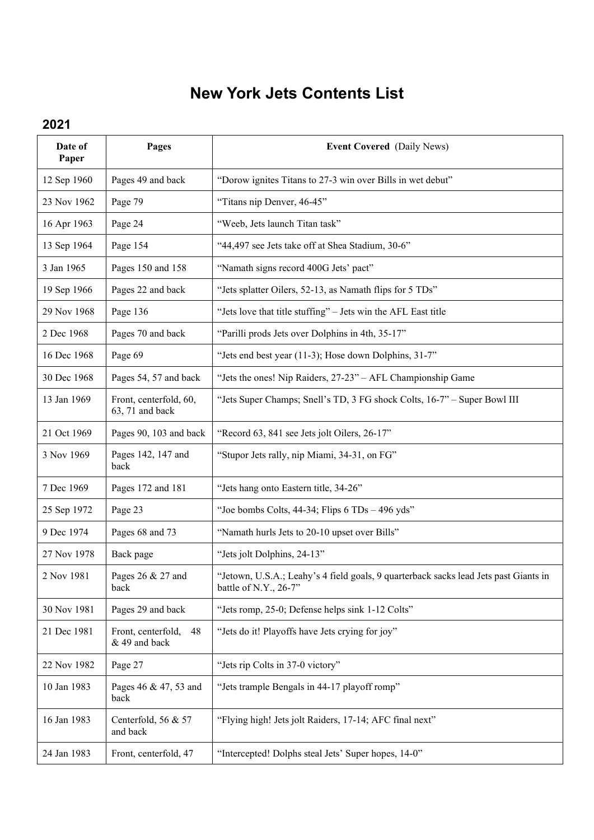## **New York Jets Contents List**

## **2021**

| Date of<br>Paper | Pages                                     | <b>Event Covered</b> (Daily News)                                                                             |
|------------------|-------------------------------------------|---------------------------------------------------------------------------------------------------------------|
| 12 Sep 1960      | Pages 49 and back                         | "Dorow ignites Titans to 27-3 win over Bills in wet debut"                                                    |
| 23 Nov 1962      | Page 79                                   | "Titans nip Denver, 46-45"                                                                                    |
| 16 Apr 1963      | Page 24                                   | "Weeb, Jets launch Titan task"                                                                                |
| 13 Sep 1964      | Page 154                                  | "44,497 see Jets take off at Shea Stadium, 30-6"                                                              |
| 3 Jan 1965       | Pages 150 and 158                         | "Namath signs record 400G Jets' pact"                                                                         |
| 19 Sep 1966      | Pages 22 and back                         | "Jets splatter Oilers, 52-13, as Namath flips for 5 TDs"                                                      |
| 29 Nov 1968      | Page 136                                  | "Jets love that title stuffing" - Jets win the AFL East title                                                 |
| 2 Dec 1968       | Pages 70 and back                         | "Parilli prods Jets over Dolphins in 4th, 35-17"                                                              |
| 16 Dec 1968      | Page 69                                   | "Jets end best year (11-3); Hose down Dolphins, 31-7"                                                         |
| 30 Dec 1968      | Pages 54, 57 and back                     | "Jets the ones! Nip Raiders, 27-23" - AFL Championship Game                                                   |
| 13 Jan 1969      | Front, centerfold, 60,<br>63, 71 and back | "Jets Super Champs; Snell's TD, 3 FG shock Colts, 16-7" - Super Bowl III                                      |
| 21 Oct 1969      | Pages 90, 103 and back                    | "Record 63, 841 see Jets jolt Oilers, 26-17"                                                                  |
| 3 Nov 1969       | Pages 142, 147 and<br>back                | "Stupor Jets rally, nip Miami, 34-31, on FG"                                                                  |
| 7 Dec 1969       | Pages 172 and 181                         | "Jets hang onto Eastern title, 34-26"                                                                         |
| 25 Sep 1972      | Page 23                                   | "Joe bombs Colts, 44-34; Flips 6 TDs - 496 yds"                                                               |
| 9 Dec 1974       | Pages 68 and 73                           | "Namath hurls Jets to 20-10 upset over Bills"                                                                 |
| 27 Nov 1978      | Back page                                 | "Jets jolt Dolphins, 24-13"                                                                                   |
| 2 Nov 1981       | Pages 26 & 27 and<br>back                 | "Jetown, U.S.A.; Leahy's 4 field goals, 9 quarterback sacks lead Jets past Giants in<br>battle of N.Y., 26-7" |
| 30 Nov 1981      | Pages 29 and back                         | "Jets romp, 25-0; Defense helps sink 1-12 Colts"                                                              |
| 21 Dec 1981      | Front, centerfold,<br>48<br>& 49 and back | "Jets do it! Playoffs have Jets crying for joy"                                                               |
| 22 Nov 1982      | Page 27                                   | "Jets rip Colts in 37-0 victory"                                                                              |
| 10 Jan 1983      | Pages 46 & 47, 53 and<br>back             | "Jets trample Bengals in 44-17 playoff romp"                                                                  |
| 16 Jan 1983      | Centerfold, 56 & 57<br>and back           | "Flying high! Jets jolt Raiders, 17-14; AFC final next"                                                       |
| 24 Jan 1983      | Front, centerfold, 47                     | "Intercepted! Dolphs steal Jets' Super hopes, 14-0"                                                           |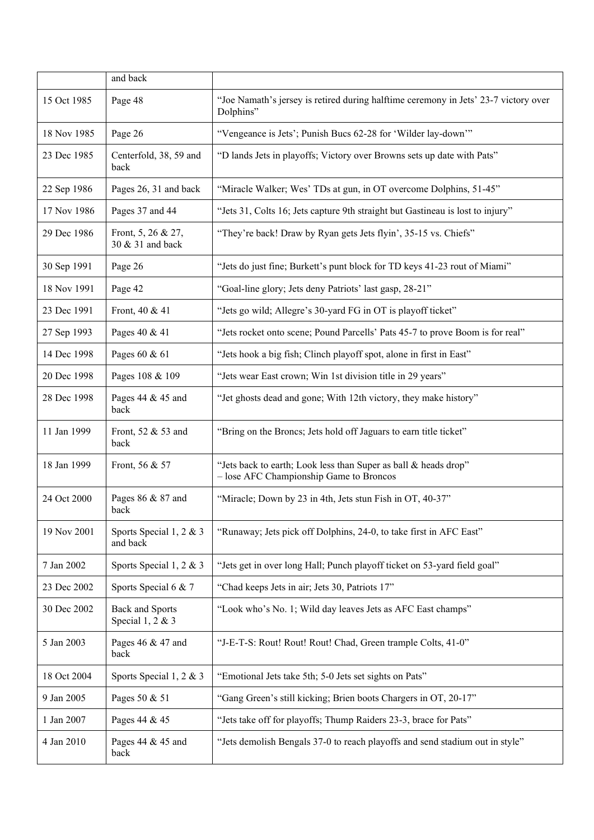|             | and back                               |                                                                                                            |
|-------------|----------------------------------------|------------------------------------------------------------------------------------------------------------|
| 15 Oct 1985 | Page 48                                | "Joe Namath's jersey is retired during halftime ceremony in Jets' 23-7 victory over<br>Dolphins"           |
| 18 Nov 1985 | Page 26                                | "Vengeance is Jets'; Punish Bucs 62-28 for 'Wilder lay-down'"                                              |
| 23 Dec 1985 | Centerfold, 38, 59 and<br>back         | "D lands Jets in playoffs; Victory over Browns sets up date with Pats"                                     |
| 22 Sep 1986 | Pages 26, 31 and back                  | "Miracle Walker; Wes' TDs at gun, in OT overcome Dolphins, 51-45"                                          |
| 17 Nov 1986 | Pages 37 and 44                        | "Jets 31, Colts 16; Jets capture 9th straight but Gastineau is lost to injury"                             |
| 29 Dec 1986 | Front, 5, 26 & 27,<br>30 & 31 and back | "They're back! Draw by Ryan gets Jets flyin', 35-15 vs. Chiefs"                                            |
| 30 Sep 1991 | Page 26                                | "Jets do just fine; Burkett's punt block for TD keys 41-23 rout of Miami"                                  |
| 18 Nov 1991 | Page 42                                | "Goal-line glory; Jets deny Patriots' last gasp, 28-21"                                                    |
| 23 Dec 1991 | Front, 40 & 41                         | "Jets go wild; Allegre's 30-yard FG in OT is playoff ticket"                                               |
| 27 Sep 1993 | Pages 40 & 41                          | "Jets rocket onto scene; Pound Parcells' Pats 45-7 to prove Boom is for real"                              |
| 14 Dec 1998 | Pages 60 & 61                          | "Jets hook a big fish; Clinch playoff spot, alone in first in East"                                        |
| 20 Dec 1998 | Pages 108 & 109                        | "Jets wear East crown; Win 1st division title in 29 years"                                                 |
| 28 Dec 1998 | Pages 44 & 45 and<br>back              | "Jet ghosts dead and gone; With 12th victory, they make history"                                           |
| 11 Jan 1999 | Front, 52 & 53 and<br>back             | "Bring on the Broncs; Jets hold off Jaguars to earn title ticket"                                          |
| 18 Jan 1999 | Front, 56 & 57                         | "Jets back to earth; Look less than Super as ball & heads drop"<br>- lose AFC Championship Game to Broncos |
| 24 Oct 2000 | Pages 86 & 87 and<br>back              | "Miracle; Down by 23 in 4th, Jets stun Fish in OT, 40-37"                                                  |
| 19 Nov 2001 | Sports Special 1, 2 & 3<br>and back    | "Runaway; Jets pick off Dolphins, 24-0, to take first in AFC East"                                         |
| 7 Jan 2002  | Sports Special 1, 2 & 3                | "Jets get in over long Hall; Punch playoff ticket on 53-yard field goal"                                   |
| 23 Dec 2002 | Sports Special 6 & 7                   | "Chad keeps Jets in air; Jets 30, Patriots 17"                                                             |
| 30 Dec 2002 | Back and Sports<br>Special $1, 2 \& 3$ | "Look who's No. 1; Wild day leaves Jets as AFC East champs"                                                |
| 5 Jan 2003  | Pages 46 & 47 and<br>back              | "J-E-T-S: Rout! Rout! Rout! Chad, Green trample Colts, 41-0"                                               |
| 18 Oct 2004 | Sports Special 1, 2 & 3                | "Emotional Jets take 5th; 5-0 Jets set sights on Pats"                                                     |
| 9 Jan 2005  | Pages 50 & 51                          | "Gang Green's still kicking; Brien boots Chargers in OT, 20-17"                                            |
| 1 Jan 2007  | Pages 44 & 45                          | "Jets take off for playoffs; Thump Raiders 23-3, brace for Pats"                                           |
| 4 Jan 2010  | Pages 44 & 45 and<br>back              | "Jets demolish Bengals 37-0 to reach playoffs and send stadium out in style"                               |